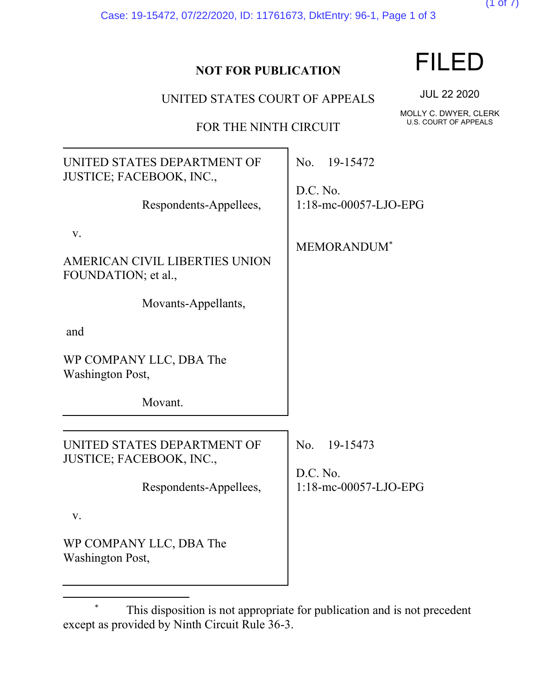Case: 19-15472, 07/22/2020, ID: 11761673, DktEntry: 96-1, Page 1 of 3

### **NOT FOR PUBLICATION**

UNITED STATES COURT OF APPEALS

FOR THE NINTH CIRCUIT

UNITED STATES DEPARTMENT OF JUSTICE; FACEBOOK, INC., Respondents-Appellees, v. AMERICAN CIVIL LIBERTIES UNION FOUNDATION; et al., Movants-Appellants, and WP COMPANY LLC, DBA The Washington Post, Movant. No. 19-15472 D.C. No. 1:18-mc-00057-LJO-EPG MEMORANDUM\* UNITED STATES DEPARTMENT OF JUSTICE; FACEBOOK, INC., Respondents-Appellees, v. WP COMPANY LLC, DBA The Washington Post, No. 19-15473 D.C. No. 1:18-mc-00057-LJO-EPG

FILED

 $(1$  of  $($ 

JUL 22 2020

MOLLY C. DWYER, CLERK U.S. COURT OF APPEALS

This disposition is not appropriate for publication and is not precedent except as provided by Ninth Circuit Rule 36-3.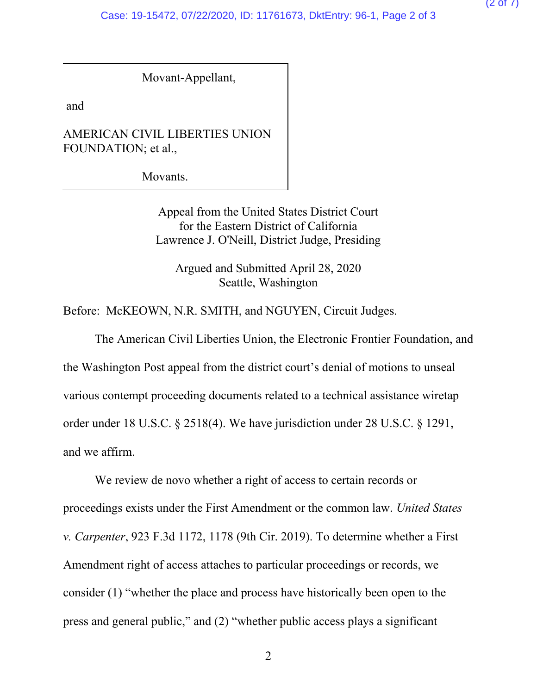Movant-Appellant,

and

AMERICAN CIVIL LIBERTIES UNION FOUNDATION; et al.,

Movants.

Appeal from the United States District Court for the Eastern District of California Lawrence J. O'Neill, District Judge, Presiding

Argued and Submitted April 28, 2020 Seattle, Washington

Before: McKEOWN, N.R. SMITH, and NGUYEN, Circuit Judges.

The American Civil Liberties Union, the Electronic Frontier Foundation, and the Washington Post appeal from the district court's denial of motions to unseal various contempt proceeding documents related to a technical assistance wiretap order under 18 U.S.C. § 2518(4). We have jurisdiction under 28 U.S.C. § 1291, and we affirm.

We review de novo whether a right of access to certain records or proceedings exists under the First Amendment or the common law. *United States v. Carpenter*, 923 F.3d 1172, 1178 (9th Cir. 2019). To determine whether a First Amendment right of access attaches to particular proceedings or records, we consider (1) "whether the place and process have historically been open to the press and general public," and (2) "whether public access plays a significant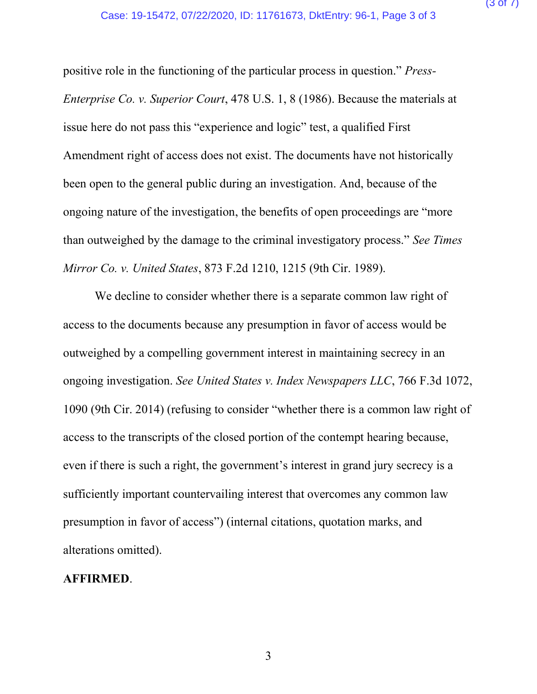positive role in the functioning of the particular process in question." *Press-Enterprise Co. v. Superior Court*, 478 U.S. 1, 8 (1986). Because the materials at issue here do not pass this "experience and logic" test, a qualified First Amendment right of access does not exist. The documents have not historically been open to the general public during an investigation. And, because of the ongoing nature of the investigation, the benefits of open proceedings are "more than outweighed by the damage to the criminal investigatory process." *See Times Mirror Co. v. United States*, 873 F.2d 1210, 1215 (9th Cir. 1989).

We decline to consider whether there is a separate common law right of access to the documents because any presumption in favor of access would be outweighed by a compelling government interest in maintaining secrecy in an ongoing investigation. *See United States v. Index Newspapers LLC*, 766 F.3d 1072, 1090 (9th Cir. 2014) (refusing to consider "whether there is a common law right of access to the transcripts of the closed portion of the contempt hearing because, even if there is such a right, the government's interest in grand jury secrecy is a sufficiently important countervailing interest that overcomes any common law presumption in favor of access") (internal citations, quotation marks, and alterations omitted).

#### **AFFIRMED**.

3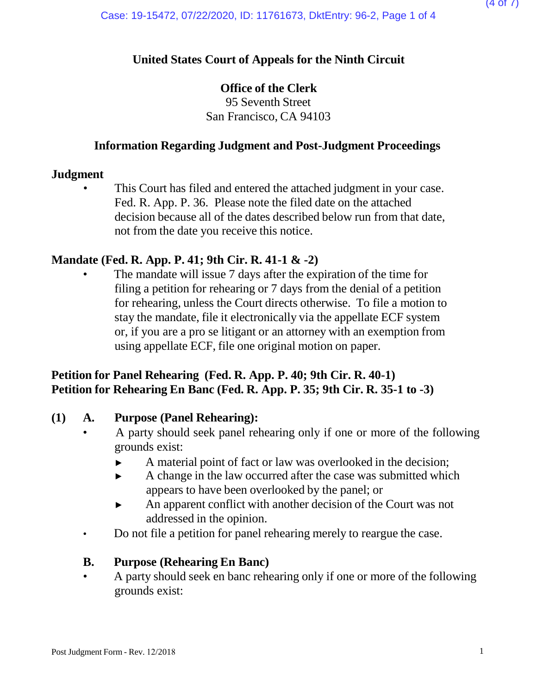### **United States Court of Appeals for the Ninth Circuit**

### **Office of the Clerk**

95 Seventh Street San Francisco, CA 94103

### **Information Regarding Judgment and Post-Judgment Proceedings**

#### **Judgment**

This Court has filed and entered the attached judgment in your case. Fed. R. App. P. 36. Please note the filed date on the attached decision because all of the dates described below run from that date, not from the date you receive this notice.

### **Mandate (Fed. R. App. P. 41; 9th Cir. R. 41-1 & -2)**

The mandate will issue 7 days after the expiration of the time for filing a petition for rehearing or 7 days from the denial of a petition for rehearing, unless the Court directs otherwise. To file a motion to stay the mandate, file it electronically via the appellate ECF system or, if you are a pro se litigant or an attorney with an exemption from using appellate ECF, file one original motion on paper.

### **Petition for Panel Rehearing (Fed. R. App. P. 40; 9th Cir. R. 40-1) Petition for Rehearing En Banc (Fed. R. App. P. 35; 9th Cir. R. 35-1 to -3)**

#### **(1) A. Purpose (Panel Rehearing):**

- A party should seek panel rehearing only if one or more of the following grounds exist:
	- ► A material point of fact or law was overlooked in the decision;
	- ► A change in the law occurred after the case was submitted which appears to have been overlooked by the panel; or
	- ► An apparent conflict with another decision of the Court was not addressed in the opinion.
- Do not file a petition for panel rehearing merely to reargue the case.

#### **B. Purpose (Rehearing En Banc)**

• A party should seek en banc rehearing only if one or more of the following grounds exist: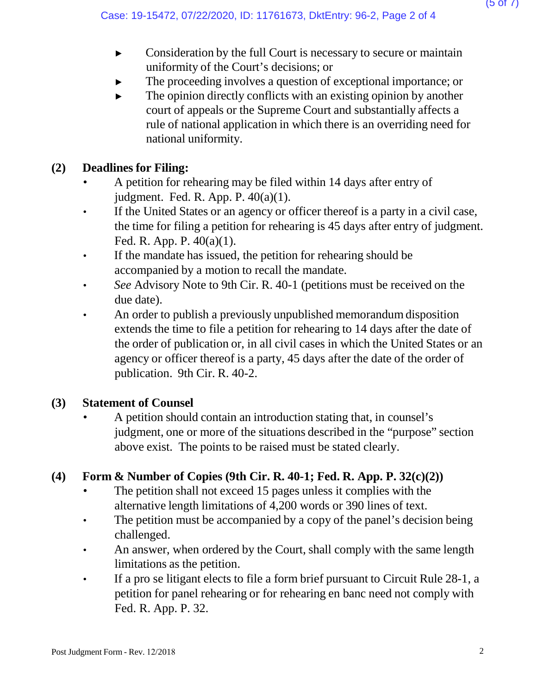- ► Consideration by the full Court is necessary to secure or maintain uniformity of the Court's decisions; or
- The proceeding involves a question of exceptional importance; or
- $\blacktriangleright$  The opinion directly conflicts with an existing opinion by another court of appeals or the Supreme Court and substantially affects a rule of national application in which there is an overriding need for national uniformity.

# **(2) Deadlines for Filing:**

- A petition for rehearing may be filed within 14 days after entry of judgment. Fed. R. App. P. 40(a)(1).
- If the United States or an agency or officer thereof is a party in a civil case, the time for filing a petition for rehearing is 45 days after entry of judgment. Fed. R. App. P. 40(a)(1).
- If the mandate has issued, the petition for rehearing should be accompanied by a motion to recall the mandate.
- *See* Advisory Note to 9th Cir. R. 40-1 (petitions must be received on the due date).
- An order to publish a previously unpublished memorandum disposition extends the time to file a petition for rehearing to 14 days after the date of the order of publication or, in all civil cases in which the United States or an agency or officer thereof is a party, 45 days after the date of the order of publication. 9th Cir. R. 40-2.

## **(3) Statement of Counsel**

• A petition should contain an introduction stating that, in counsel's judgment, one or more of the situations described in the "purpose" section above exist. The points to be raised must be stated clearly.

## **(4) Form & Number of Copies (9th Cir. R. 40-1; Fed. R. App. P. 32(c)(2))**

- The petition shall not exceed 15 pages unless it complies with the alternative length limitations of 4,200 words or 390 lines of text.
- The petition must be accompanied by a copy of the panel's decision being challenged.
- An answer, when ordered by the Court, shall comply with the same length limitations as the petition.
- If a pro se litigant elects to file a form brief pursuant to Circuit Rule 28-1, a petition for panel rehearing or for rehearing en banc need not comply with Fed. R. App. P. 32.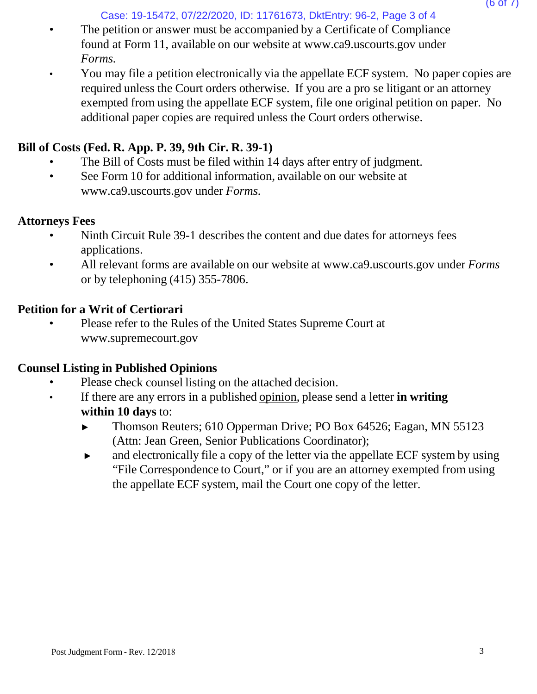Case: 19-15472, 07/22/2020, ID: 11761673, DktEntry: 96-2, Page 3 of 4

- The petition or answer must be accompanied by a Certificate of Compliance found at Form 11, available on our website [at www.ca9.uscourts.gov](http://www.ca9.uscourts.gov/) under *Forms.*
- You may file a petition electronically via the appellate ECF system. No paper copies are required unless the Court orders otherwise. If you are a pro se litigant or an attorney exempted from using the appellate ECF system, file one original petition on paper. No additional paper copies are required unless the Court orders otherwise.

## **Bill of Costs (Fed. R. App. P. 39, 9th Cir. R. 39-1)**

- The Bill of Costs must be filed within 14 days after entry of judgment.
- See Form 10 for addi[t](http://www.ca9.uscourts.gov/)ional information, available on our website at [www.ca9.uscourts.gov](http://www.ca9.uscourts.gov/) under *Forms.*

## **Attorneys Fees**

- Ninth Circuit Rule 39-1 describes the content and due dates for attorneys fees applications.
- All relevant forms are available on our website at [www.ca9.uscourts.gov](http://www.ca9.uscourts.gov/) under *Forms* or by telephoning (415) 355-7806.

# **Petition for a Writ of Certiorari**

• Please refer to the Rules of the United States Supreme Court a[t](http://www.supremecourt.gov/) [www.supremecourt.gov](http://www.supremecourt.gov/)

## **Counsel Listing in Published Opinions**

- Please check counsel listing on the attached decision.
- If there are any errors in a published opinion, please send a letter **in writing within 10 days** to:
	- ► Thomson Reuters; 610 Opperman Drive; PO Box 64526; Eagan, MN 55123 (Attn: Jean Green, Senior Publications Coordinator);
	- ► and electronically file a copy of the letter via the appellate ECF system by using "File Correspondence to Court," or if you are an attorney exempted from using the appellate ECF system, mail the Court one copy of the letter.